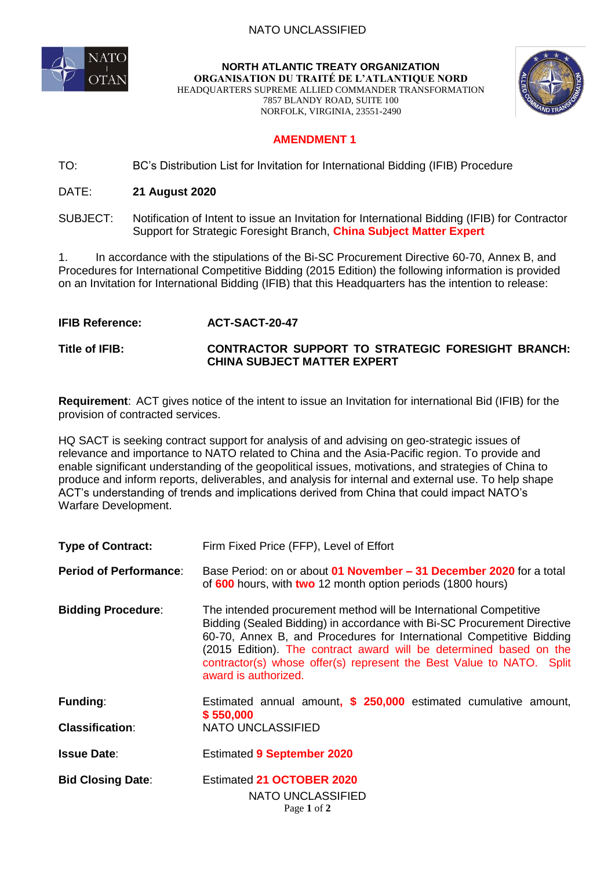### NATO UNCLASSIFIED



**NORTH ATLANTIC TREATY ORGANIZATION ORGANISATION DU TRAITÉ DE L'ATLANTIQUE NORD** 



HEADQUARTERS SUPREME ALLIED COMMANDER TRANSFORMATION 7857 BLANDY ROAD, SUITE 100 NORFOLK, VIRGINIA, 23551-2490

# **AMENDMENT 1**

TO: BC's Distribution List for Invitation for International Bidding (IFIB) Procedure

# DATE: **21 August 2020**

SUBJECT: Notification of Intent to issue an Invitation for International Bidding (IFIB) for Contractor Support for Strategic Foresight Branch, **China Subject Matter Expert**

1. In accordance with the stipulations of the Bi-SC Procurement Directive 60-70, Annex B, and Procedures for International Competitive Bidding (2015 Edition) the following information is provided on an Invitation for International Bidding (IFIB) that this Headquarters has the intention to release:

## **IFIB Reference: ACT-SACT-20-47**

**Title of IFIB: CONTRACTOR SUPPORT TO STRATEGIC FORESIGHT BRANCH: CHINA SUBJECT MATTER EXPERT**

**Requirement**: ACT gives notice of the intent to issue an Invitation for international Bid (IFIB) for the provision of contracted services.

HQ SACT is seeking contract support for analysis of and advising on geo-strategic issues of relevance and importance to NATO related to China and the Asia-Pacific region. To provide and enable significant understanding of the geopolitical issues, motivations, and strategies of China to produce and inform reports, deliverables, and analysis for internal and external use. To help shape ACT's understanding of trends and implications derived from China that could impact NATO's Warfare Development.

| <b>Type of Contract:</b>      | Firm Fixed Price (FFP), Level of Effort                                                                                                                                                                                                                                                                                                                                                    |
|-------------------------------|--------------------------------------------------------------------------------------------------------------------------------------------------------------------------------------------------------------------------------------------------------------------------------------------------------------------------------------------------------------------------------------------|
| <b>Period of Performance:</b> | Base Period: on or about 01 November – 31 December 2020 for a total<br>of 600 hours, with two 12 month option periods (1800 hours)                                                                                                                                                                                                                                                         |
| <b>Bidding Procedure:</b>     | The intended procurement method will be International Competitive<br>Bidding (Sealed Bidding) in accordance with Bi-SC Procurement Directive<br>60-70, Annex B, and Procedures for International Competitive Bidding<br>(2015 Edition). The contract award will be determined based on the<br>contractor(s) whose offer(s) represent the Best Value to NATO. Split<br>award is authorized. |
| Funding:                      | Estimated annual amount, \$ 250,000 estimated cumulative amount,<br>\$550,000                                                                                                                                                                                                                                                                                                              |
| <b>Classification:</b>        | <b>NATO UNCLASSIFIED</b>                                                                                                                                                                                                                                                                                                                                                                   |
| <b>Issue Date:</b>            | <b>Estimated 9 September 2020</b>                                                                                                                                                                                                                                                                                                                                                          |
| <b>Bid Closing Date:</b>      | Estimated 21 OCTOBER 2020<br>NATO UNCLASSIFIED<br>Page 1 of 2                                                                                                                                                                                                                                                                                                                              |